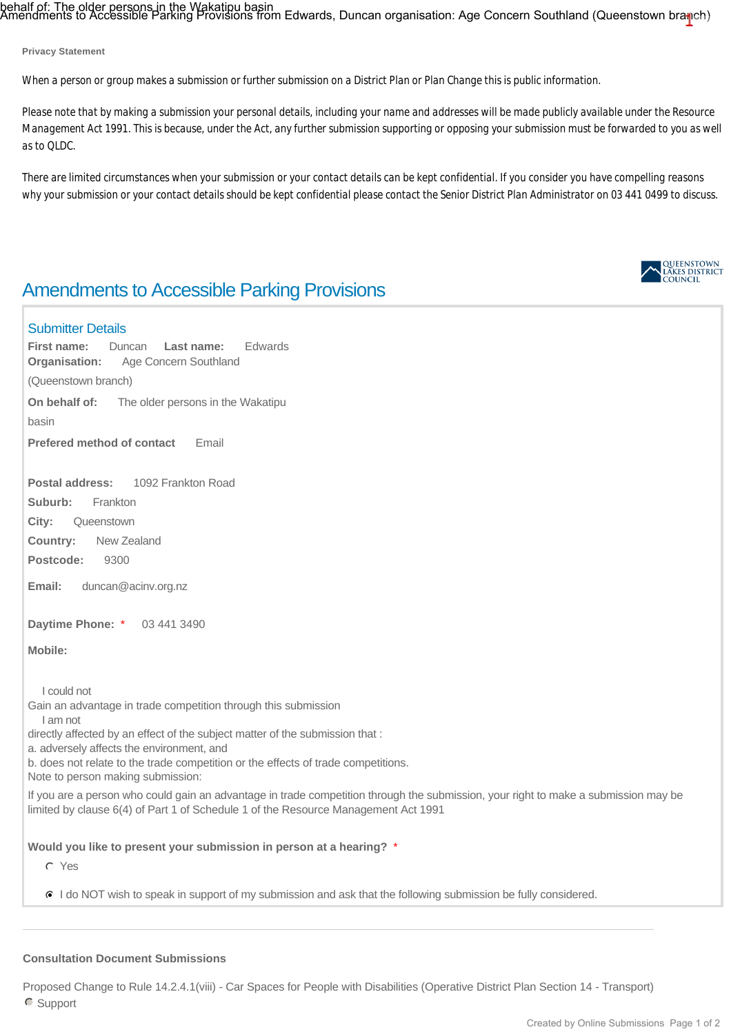behalf of: The older persons in the Wakatipu basin<br>Amendments to Accessible Parking Provisions from Edwards, Duncan organisation: Age Concern Southland (Queenstown bra<mark>n</mark>ch)

**Privacy Statement**

*When a person or group makes a submission or further submission on a District Plan or Plan Change this is public information.*

*Please note that by making a submission your personal details, including your name and addresses will be made publicly available under the Resource Management Act 1991. This is because, under the Act, any further submission supporting or opposing your submission must be forwarded to you as well as to QLDC.*

*There are limited circumstances when your submission or your contact details can be kept confidential. If you consider you have compelling reasons why your submission or your contact details should be kept confidential please contact the Senior District Plan Administrator on 03 441 0499 to discuss.*

# Amendments to Accessible Parking Provisions

### Submitter Details

QUEENSTOWN<br>LAKES DISTRICT<br>COUNCIL

**Organisation:** Age Concern Southland (Queenstown branch) **On behalf of:** The older persons in the Wakatipu basin **Postal address:** 1092 Frankton Road Suburb: Frankton **City:** Queenstown **Country:** New Zealand **Postcode:** 9300 **Email:** duncan@acinv.org.nz **First name:** Duncan **Last name:** Edwards **Prefered method of contact** Email

**Daytime Phone:** \* 03 441 3490

**Mobile:** 

I could not

Gain an advantage in trade competition through this submission I am not

directly affected by an effect of the subject matter of the submission that :

a. adversely affects the environment, and

b. does not relate to the trade competition or the effects of trade competitions.

Note to person making submission:

If you are a person who could gain an advantage in trade competition through the submission, your right to make a submission may be limited by clause 6(4) of Part 1 of Schedule 1 of the Resource Management Act 1991

**Would you like to present your submission in person at a hearing?** \*

Yes

I do NOT wish to speak in support of my submission and ask that the following submission be fully considered.

### **Consultation Document Submissions**

Proposed Change to Rule 14.2.4.1(viii) - Car Spaces for People with Disabilities (Operative District Plan Section 14 - Transport) Support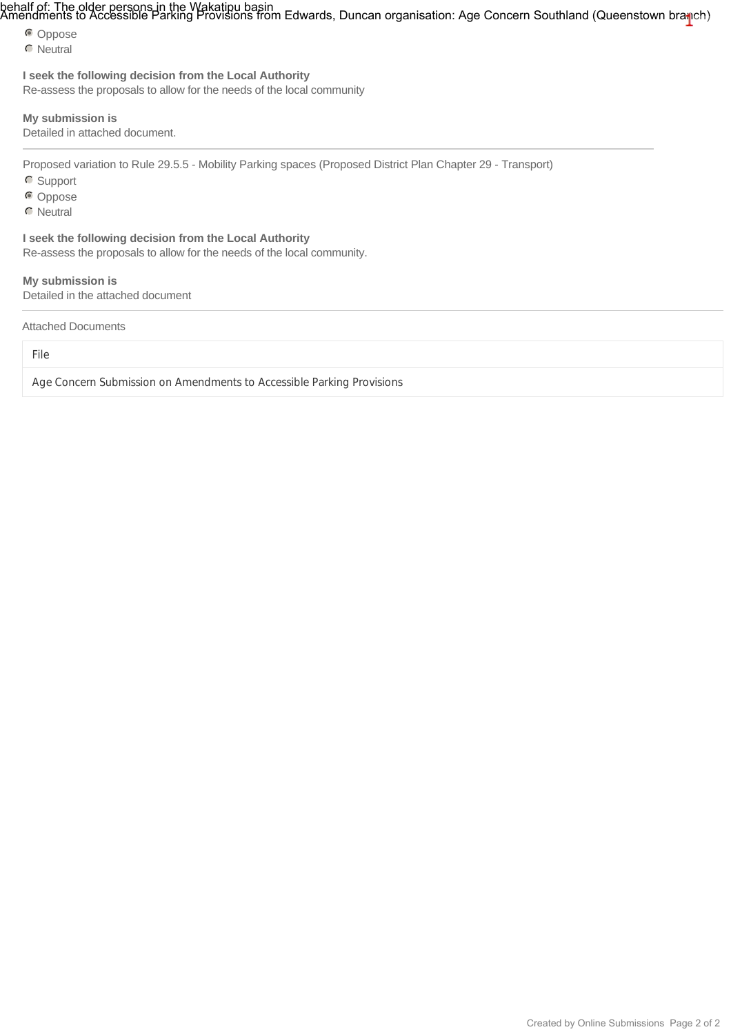# behalf of: The older persons in the Wakatipu basin<br>Amendments to Accessible Parking Provisions from Edwards, Duncan organisation: Age Concern Southland (Queenstown bra<mark>n</mark>ch)

Coppose

**C** Neutral

### **I seek the following decision from the Local Authority**

Re-assess the proposals to allow for the needs of the local community

### **My submission is**

Detailed in attached document.

Proposed variation to Rule 29.5.5 - Mobility Parking spaces (Proposed District Plan Chapter 29 - Transport)

**C** Support

Coppose

**C** Neutral

**I seek the following decision from the Local Authority** Re-assess the proposals to allow for the needs of the local community.

### **My submission is**

Detailed in the attached document

Attached Documents

File

Age Concern Submission on Amendments to Accessible Parking Provisions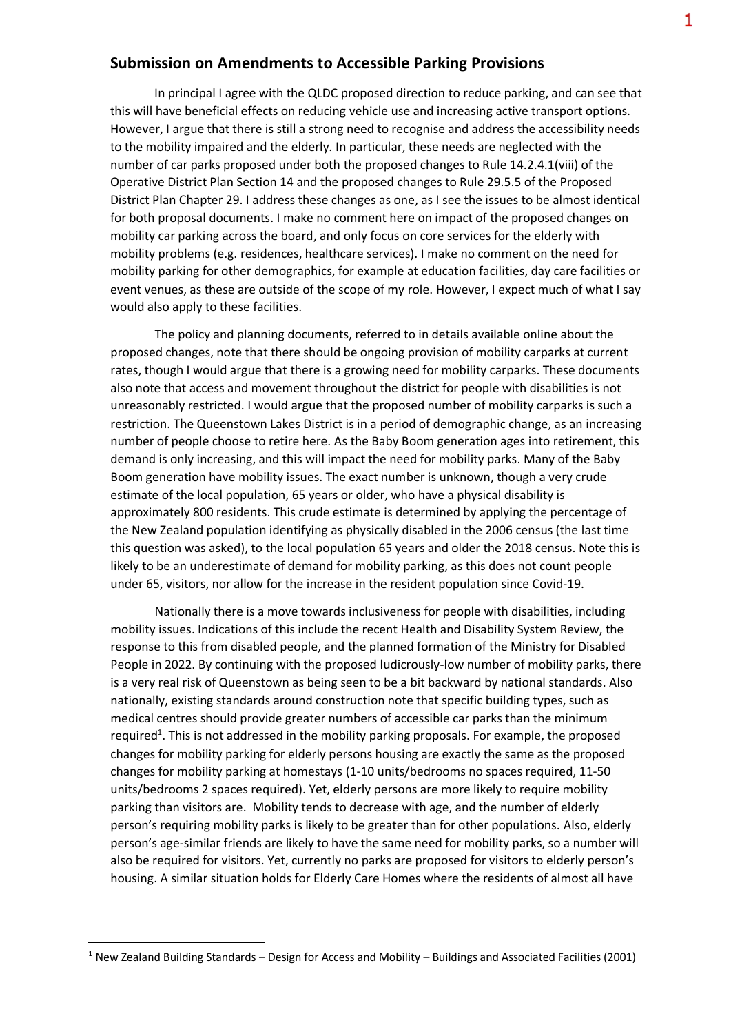### **Submission on Amendments to Accessible Parking Provisions**

In principal I agree with the QLDC proposed direction to reduce parking, and can see that this will have beneficial effects on reducing vehicle use and increasing active transport options. However, I argue that there is still a strong need to recognise and address the accessibility needs to the mobility impaired and the elderly. In particular, these needs are neglected with the number of car parks proposed under both the proposed changes to Rule 14.2.4.1(viii) of the Operative District Plan Section 14 and the proposed changes to Rule 29.5.5 of the Proposed District Plan Chapter 29. I address these changes as one, as I see the issues to be almost identical for both proposal documents. I make no comment here on impact of the proposed changes on mobility car parking across the board, and only focus on core services for the elderly with mobility problems (e.g. residences, healthcare services). I make no comment on the need for mobility parking for other demographics, for example at education facilities, day care facilities or event venues, as these are outside of the scope of my role. However, I expect much of what I say would also apply to these facilities.

The policy and planning documents, referred to in details available online about the proposed changes, note that there should be ongoing provision of mobility carparks at current rates, though I would argue that there is a growing need for mobility carparks. These documents also note that access and movement throughout the district for people with disabilities is not unreasonably restricted. I would argue that the proposed number of mobility carparks is such a restriction. The Queenstown Lakes District is in a period of demographic change, as an increasing number of people choose to retire here. As the Baby Boom generation ages into retirement, this demand is only increasing, and this will impact the need for mobility parks. Many of the Baby Boom generation have mobility issues. The exact number is unknown, though a very crude estimate of the local population, 65 years or older, who have a physical disability is approximately 800 residents. This crude estimate is determined by applying the percentage of the New Zealand population identifying as physically disabled in the 2006 census (the last time this question was asked), to the local population 65 years and older the 2018 census. Note this is likely to be an underestimate of demand for mobility parking, as this does not count people under 65, visitors, nor allow for the increase in the resident population since Covid-19.

Nationally there is a move towards inclusiveness for people with disabilities, including mobility issues. Indications of this include the recent Health and Disability System Review, the response to this from disabled people, and the planned formation of the Ministry for Disabled People in 2022. By continuing with the proposed ludicrously-low number of mobility parks, there is a very real risk of Queenstown as being seen to be a bit backward by national standards. Also nationally, existing standards around construction note that specific building types, such as medical centres should provide greater numbers of accessible car parks than the minimum required<sup>1</sup>. This is not addressed in the mobility parking proposals. For example, the proposed changes for mobility parking for elderly persons housing are exactly the same as the proposed changes for mobility parking at homestays (1-10 units/bedrooms no spaces required, 11-50 units/bedrooms 2 spaces required). Yet, elderly persons are more likely to require mobility parking than visitors are. Mobility tends to decrease with age, and the number of elderly person's requiring mobility parks is likely to be greater than for other populations. Also, elderly person's age-similar friends are likely to have the same need for mobility parks, so a number will also be required for visitors. Yet, currently no parks are proposed for visitors to elderly person's housing. A similar situation holds for Elderly Care Homes where the residents of almost all have

**.** 

<sup>1</sup> New Zealand Building Standards – Design for Access and Mobility – Buildings and Associated Facilities (2001)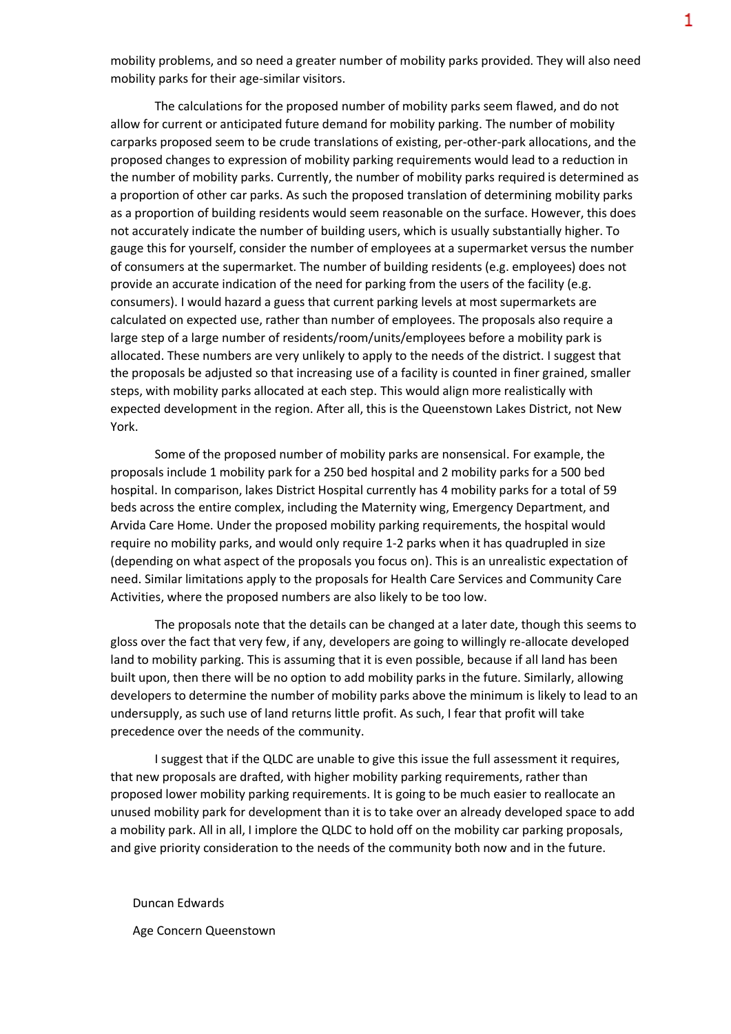mobility problems, and so need a greater number of mobility parks provided. They will also need mobility parks for their age-similar visitors.

The calculations for the proposed number of mobility parks seem flawed, and do not allow for current or anticipated future demand for mobility parking. The number of mobility carparks proposed seem to be crude translations of existing, per-other-park allocations, and the proposed changes to expression of mobility parking requirements would lead to a reduction in the number of mobility parks. Currently, the number of mobility parks required is determined as a proportion of other car parks. As such the proposed translation of determining mobility parks as a proportion of building residents would seem reasonable on the surface. However, this does not accurately indicate the number of building users, which is usually substantially higher. To gauge this for yourself, consider the number of employees at a supermarket versus the number of consumers at the supermarket. The number of building residents (e.g. employees) does not provide an accurate indication of the need for parking from the users of the facility (e.g. consumers). I would hazard a guess that current parking levels at most supermarkets are calculated on expected use, rather than number of employees. The proposals also require a large step of a large number of residents/room/units/employees before a mobility park is allocated. These numbers are very unlikely to apply to the needs of the district. I suggest that the proposals be adjusted so that increasing use of a facility is counted in finer grained, smaller steps, with mobility parks allocated at each step. This would align more realistically with expected development in the region. After all, this is the Queenstown Lakes District, not New York.

Some of the proposed number of mobility parks are nonsensical. For example, the proposals include 1 mobility park for a 250 bed hospital and 2 mobility parks for a 500 bed hospital. In comparison, lakes District Hospital currently has 4 mobility parks for a total of 59 beds across the entire complex, including the Maternity wing, Emergency Department, and Arvida Care Home. Under the proposed mobility parking requirements, the hospital would require no mobility parks, and would only require 1-2 parks when it has quadrupled in size (depending on what aspect of the proposals you focus on). This is an unrealistic expectation of need. Similar limitations apply to the proposals for Health Care Services and Community Care Activities, where the proposed numbers are also likely to be too low.

The proposals note that the details can be changed at a later date, though this seems to gloss over the fact that very few, if any, developers are going to willingly re-allocate developed land to mobility parking. This is assuming that it is even possible, because if all land has been built upon, then there will be no option to add mobility parks in the future. Similarly, allowing developers to determine the number of mobility parks above the minimum is likely to lead to an undersupply, as such use of land returns little profit. As such, I fear that profit will take precedence over the needs of the community.

I suggest that if the QLDC are unable to give this issue the full assessment it requires, that new proposals are drafted, with higher mobility parking requirements, rather than proposed lower mobility parking requirements. It is going to be much easier to reallocate an unused mobility park for development than it is to take over an already developed space to add a mobility park. All in all, I implore the QLDC to hold off on the mobility car parking proposals, and give priority consideration to the needs of the community both now and in the future.

Duncan Edwards

Age Concern Queenstown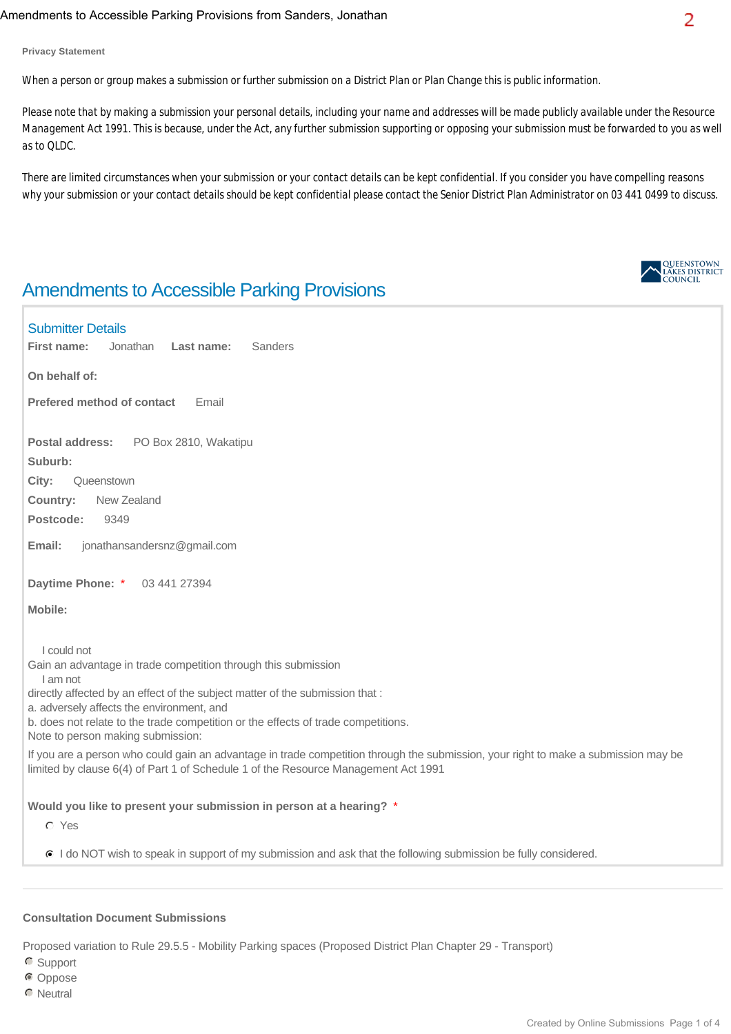### Amendments to Accessible Parking Provisions from Sanders, Jonathan

**Privacy Statement**

*When a person or group makes a submission or further submission on a District Plan or Plan Change this is public information.*

*Please note that by making a submission your personal details, including your name and addresses will be made publicly available under the Resource Management Act 1991. This is because, under the Act, any further submission supporting or opposing your submission must be forwarded to you as well as to QLDC.*

*There are limited circumstances when your submission or your contact details can be kept confidential. If you consider you have compelling reasons why your submission or your contact details should be kept confidential please contact the Senior District Plan Administrator on 03 441 0499 to discuss.*

# Amendments to Accessible Parking Provisions

### Submitter Details

**First name:** Jonathan **Last name:** Sanders

**On behalf of:** 

**Prefered method of contact** Email

**Postal address:** PO Box 2810, Wakatipu

**Suburb:** 

**City:** Queenstown

**Country:** New Zealand

**Postcode:** 9349

**Email:** jonathansandersnz@gmail.com

**Daytime Phone:** \* 03 441 27394

**Mobile:** 

I could not

Gain an advantage in trade competition through this submission

I am not

directly affected by an effect of the subject matter of the submission that :

a. adversely affects the environment, and

b. does not relate to the trade competition or the effects of trade competitions.

Note to person making submission:

If you are a person who could gain an advantage in trade competition through the submission, your right to make a submission may be limited by clause 6(4) of Part 1 of Schedule 1 of the Resource Management Act 1991

### **Would you like to present your submission in person at a hearing?** \*

Yes

I do NOT wish to speak in support of my submission and ask that the following submission be fully considered.

### **Consultation Document Submissions**

Proposed variation to Rule 29.5.5 - Mobility Parking spaces (Proposed District Plan Chapter 29 - Transport)

C Support

- Oppose
- **C** Neutral

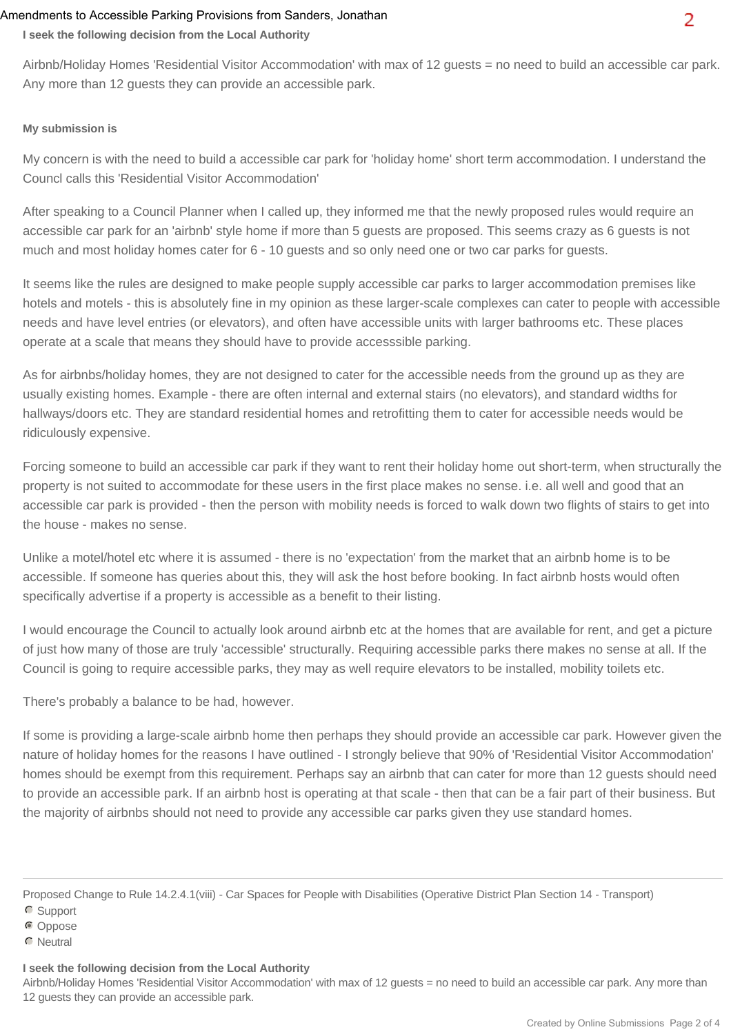### Amendments to Accessible Parking Provisions from Sanders, Jonathan

**I seek the following decision from the Local Authority**

Airbnb/Holiday Homes 'Residential Visitor Accommodation' with max of 12 guests = no need to build an accessible car park. Any more than 12 guests they can provide an accessible park.

### **My submission is**

My concern is with the need to build a accessible car park for 'holiday home' short term accommodation. I understand the Councl calls this 'Residential Visitor Accommodation'

After speaking to a Council Planner when I called up, they informed me that the newly proposed rules would require an accessible car park for an 'airbnb' style home if more than 5 guests are proposed. This seems crazy as 6 guests is not much and most holiday homes cater for 6 - 10 guests and so only need one or two car parks for guests.

It seems like the rules are designed to make people supply accessible car parks to larger accommodation premises like hotels and motels - this is absolutely fine in my opinion as these larger-scale complexes can cater to people with accessible needs and have level entries (or elevators), and often have accessible units with larger bathrooms etc. These places operate at a scale that means they should have to provide accesssible parking.

As for airbnbs/holiday homes, they are not designed to cater for the accessible needs from the ground up as they are usually existing homes. Example - there are often internal and external stairs (no elevators), and standard widths for hallways/doors etc. They are standard residential homes and retrofitting them to cater for accessible needs would be ridiculously expensive.

Forcing someone to build an accessible car park if they want to rent their holiday home out short-term, when structurally the property is not suited to accommodate for these users in the first place makes no sense. i.e. all well and good that an accessible car park is provided - then the person with mobility needs is forced to walk down two flights of stairs to get into the house - makes no sense.

Unlike a motel/hotel etc where it is assumed - there is no 'expectation' from the market that an airbnb home is to be accessible. If someone has queries about this, they will ask the host before booking. In fact airbnb hosts would often specifically advertise if a property is accessible as a benefit to their listing.

I would encourage the Council to actually look around airbnb etc at the homes that are available for rent, and get a picture of just how many of those are truly 'accessible' structurally. Requiring accessible parks there makes no sense at all. If the Council is going to require accessible parks, they may as well require elevators to be installed, mobility toilets etc.

There's probably a balance to be had, however.

If some is providing a large-scale airbnb home then perhaps they should provide an accessible car park. However given the nature of holiday homes for the reasons I have outlined - I strongly believe that 90% of 'Residential Visitor Accommodation' homes should be exempt from this requirement. Perhaps say an airbnb that can cater for more than 12 guests should need to provide an accessible park. If an airbnb host is operating at that scale - then that can be a fair part of their business. But the majority of airbnbs should not need to provide any accessible car parks given they use standard homes.

### **I seek the following decision from the Local Authority**

Airbnb/Holiday Homes 'Residential Visitor Accommodation' with max of 12 guests = no need to build an accessible car park. Any more than 12 guests they can provide an accessible park.

Proposed Change to Rule 14.2.4.1(viii) - Car Spaces for People with Disabilities (Operative District Plan Section 14 - Transport)

C Support

COppose

**C** Neutral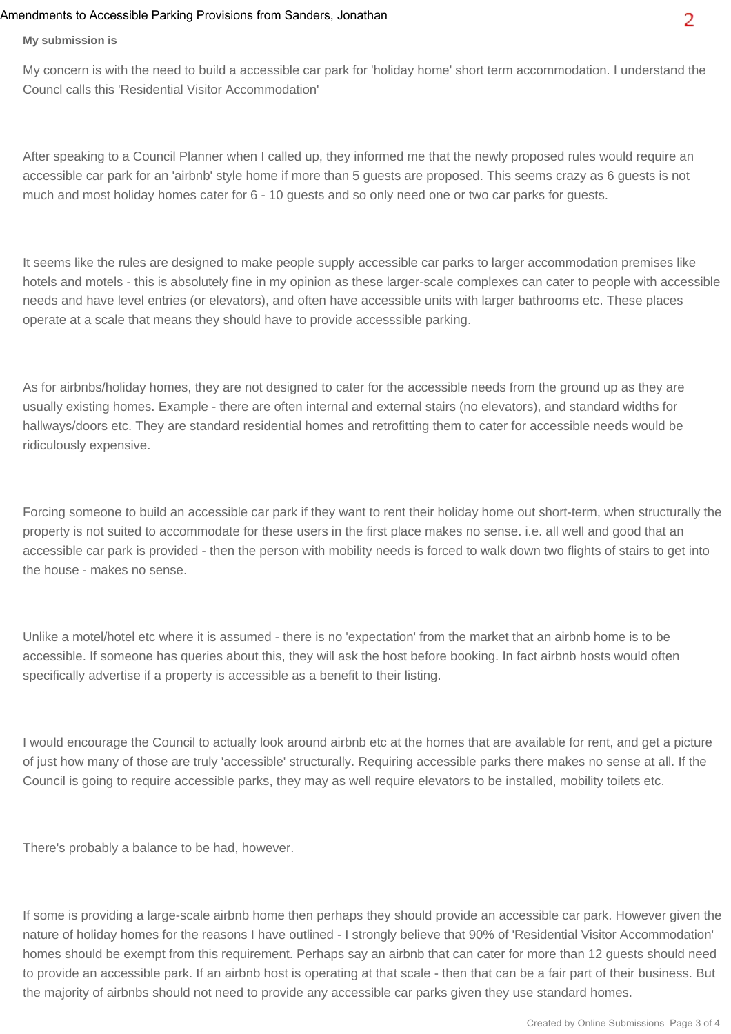### Amendments to Accessible Parking Provisions from Sanders, Jonathan

My concern is with the need to build a accessible car park for 'holiday home' short term accommodation. I understand the Councl calls this 'Residential Visitor Accommodation'

After speaking to a Council Planner when I called up, they informed me that the newly proposed rules would require an accessible car park for an 'airbnb' style home if more than 5 guests are proposed. This seems crazy as 6 guests is not much and most holiday homes cater for 6 - 10 guests and so only need one or two car parks for guests.

It seems like the rules are designed to make people supply accessible car parks to larger accommodation premises like hotels and motels - this is absolutely fine in my opinion as these larger-scale complexes can cater to people with accessible needs and have level entries (or elevators), and often have accessible units with larger bathrooms etc. These places operate at a scale that means they should have to provide accesssible parking.

As for airbnbs/holiday homes, they are not designed to cater for the accessible needs from the ground up as they are usually existing homes. Example - there are often internal and external stairs (no elevators), and standard widths for hallways/doors etc. They are standard residential homes and retrofitting them to cater for accessible needs would be ridiculously expensive.

Forcing someone to build an accessible car park if they want to rent their holiday home out short-term, when structurally the property is not suited to accommodate for these users in the first place makes no sense. i.e. all well and good that an accessible car park is provided - then the person with mobility needs is forced to walk down two flights of stairs to get into the house - makes no sense.

Unlike a motel/hotel etc where it is assumed - there is no 'expectation' from the market that an airbnb home is to be accessible. If someone has queries about this, they will ask the host before booking. In fact airbnb hosts would often specifically advertise if a property is accessible as a benefit to their listing.

I would encourage the Council to actually look around airbnb etc at the homes that are available for rent, and get a picture of just how many of those are truly 'accessible' structurally. Requiring accessible parks there makes no sense at all. If the Council is going to require accessible parks, they may as well require elevators to be installed, mobility toilets etc.

There's probably a balance to be had, however.

If some is providing a large-scale airbnb home then perhaps they should provide an accessible car park. However given the nature of holiday homes for the reasons I have outlined - I strongly believe that 90% of 'Residential Visitor Accommodation' homes should be exempt from this requirement. Perhaps say an airbnb that can cater for more than 12 guests should need to provide an accessible park. If an airbnb host is operating at that scale - then that can be a fair part of their business. But the majority of airbnbs should not need to provide any accessible car parks given they use standard homes.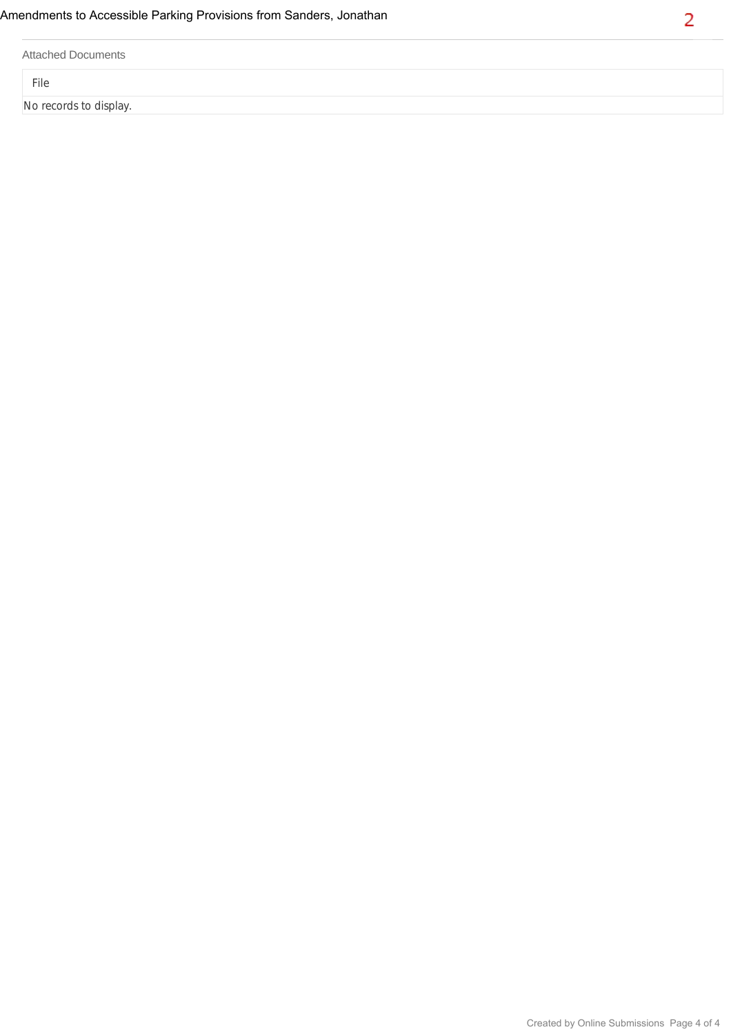|  | <b>Attached Documents</b> |
|--|---------------------------|
|--|---------------------------|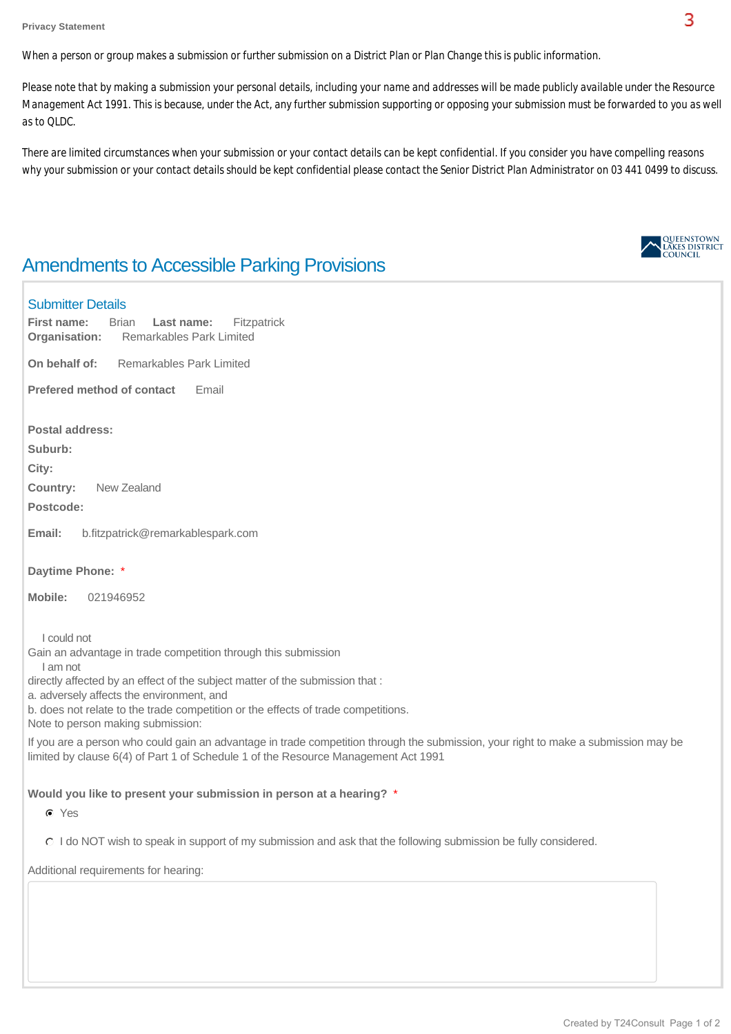*When a person or group makes a submission or further submission on a District Plan or Plan Change this is public information.*

*Please note that by making a submission your personal details, including your name and addresses will be made publicly available under the Resource Management Act 1991. This is because, under the Act, any further submission supporting or opposing your submission must be forwarded to you as well as to QLDC.*

*There are limited circumstances when your submission or your contact details can be kept confidential. If you consider you have compelling reasons why your submission or your contact details should be kept confidential please contact the Senior District Plan Administrator on 03 441 0499 to discuss.*

# Amendments to Accessible Parking Provisions

### Submitter Details

**Organisation:** Remarkables Park Limited **On behalf of:** Remarkables Park Limited **Postal address: Suburb: City: Country:** New Zealand **Postcode: Email:** b.fitzpatrick@remarkablespark.com **Daytime Phone:** \* **Mobile:** 021946952 **First name:** Brian **Last name:** Fitzpatrick **Prefered method of contact Email** I could not Gain an advantage in trade competition through this submission I am not directly affected by an effect of the subject matter of the submission that : a. adversely affects the environment, and b. does not relate to the trade competition or the effects of trade competitions. Note to person making submission: If you are a person who could gain an advantage in trade competition through the submission, your right to make a submission may be limited by clause 6(4) of Part 1 of Schedule 1 of the Resource Management Act 1991 **Would you like to present your submission in person at a hearing?** \* Yes I do NOT wish to speak in support of my submission and ask that the following submission be fully considered. Additional requirements for hearing:

QUEENSTOWN **COUNCH**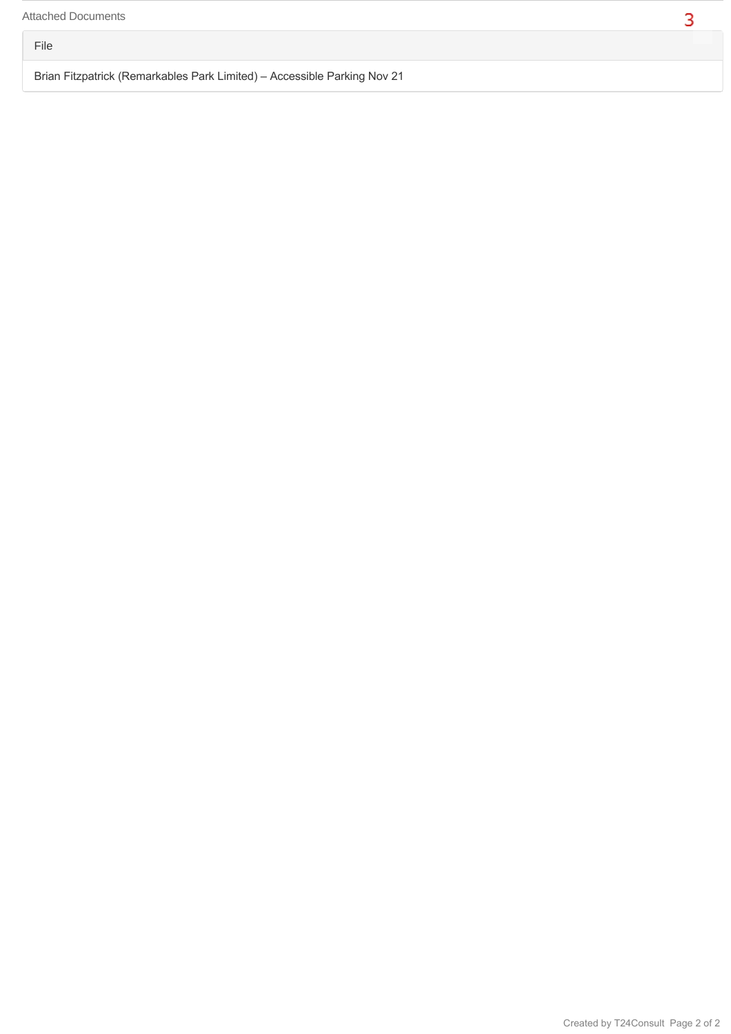File

Brian Fitzpatrick (Remarkables Park Limited) – Accessible Parking Nov 21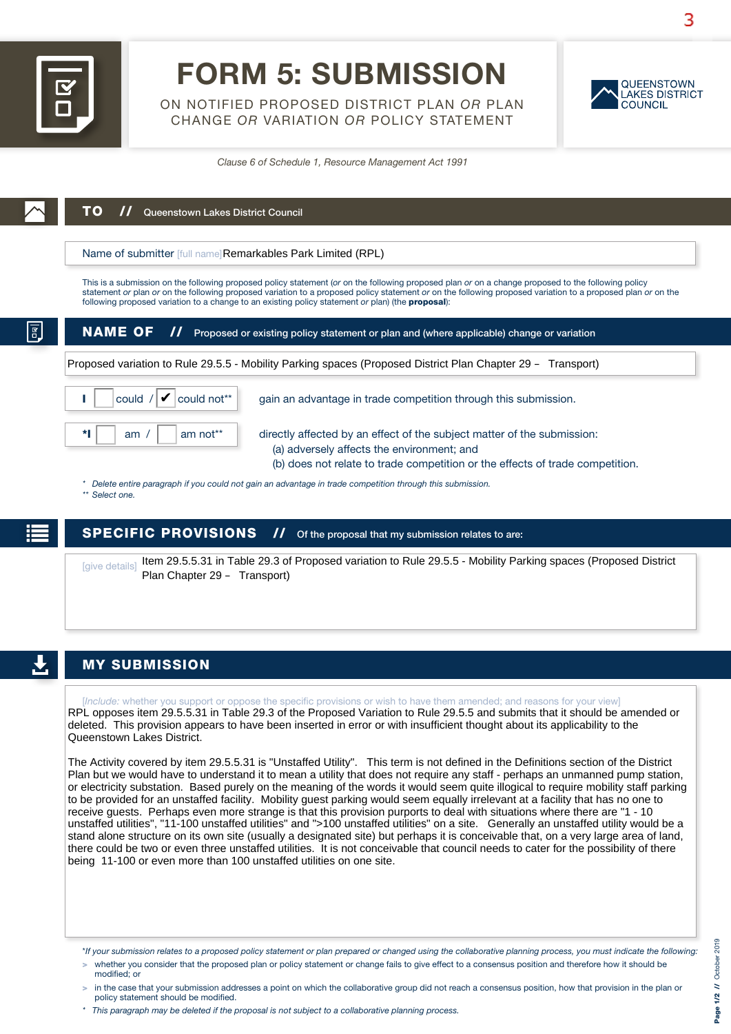

# FORM 5: SUBMISSION

ON NOTIFIED PROPOSED DISTRICT PLAN *OR* PLAN CHANGE *OR* VARIATION *OR* POLICY STATEMENT



*Clause 6 of Schedule 1, Resource Management Act 1991*

| Name of submitter [full name] Remarkables Park Limited (RPL)                                                                             |                                                                                                                                                                                                                                                                                                                                                                                                                                |  |  |
|------------------------------------------------------------------------------------------------------------------------------------------|--------------------------------------------------------------------------------------------------------------------------------------------------------------------------------------------------------------------------------------------------------------------------------------------------------------------------------------------------------------------------------------------------------------------------------|--|--|
|                                                                                                                                          | This is a submission on the following proposed policy statement (or on the following proposed plan or on a change proposed to the following policy<br>statement or plan or on the following proposed variation to a proposed policy statement or on the following proposed variation to a proposed plan or on the<br>following proposed variation to a change to an existing policy statement or plan) (the <b>proposal</b> ): |  |  |
| <b>NAME OF</b><br>$\boldsymbol{\mathcal{H}}$<br>Proposed or existing policy statement or plan and (where applicable) change or variation |                                                                                                                                                                                                                                                                                                                                                                                                                                |  |  |
|                                                                                                                                          |                                                                                                                                                                                                                                                                                                                                                                                                                                |  |  |
|                                                                                                                                          | Proposed variation to Rule 29.5.5 - Mobility Parking spaces (Proposed District Plan Chapter 29 - Transport)                                                                                                                                                                                                                                                                                                                    |  |  |
| $\mathbf{V}$ could not**<br>could /                                                                                                      | gain an advantage in trade competition through this submission.                                                                                                                                                                                                                                                                                                                                                                |  |  |

*\* Delete entire paragraph if you could not gain an advantage in trade competition through this submission.*

*\*\* Select one.*

SPECIFIC PROVISIONS // Of the proposal that my submission relates to are:

[give details] Item 29.5.5.31 in Table 29.3 of Proposed variation to Rule 29.5.5 - Mobility Parking spaces (Proposed District Plan Chapter 29 – Transport)

### MY SUBMISSION

[*Include:* whether you support or oppose the specific provisions or wish to have them amended; and reasons for your view] RPL opposes item 29.5.5.31 in Table 29.3 of the Proposed Variation to Rule 29.5.5 and submits that it should be amended or deleted. This provision appears to have been inserted in error or with insufficient thought about its applicability to the Queenstown Lakes District.

The Activity covered by item 29.5.5.31 is "Unstaffed Utility". This term is not defined in the Definitions section of the District Plan but we would have to understand it to mean a utility that does not require any staff - perhaps an unmanned pump station, or electricity substation. Based purely on the meaning of the words it would seem quite illogical to require mobility staff parking to be provided for an unstaffed facility. Mobility guest parking would seem equally irrelevant at a facility that has no one to receive guests. Perhaps even more strange is that this provision purports to deal with situations where there are "1 - 10 unstaffed utilities", "11-100 unstaffed utilities" and ">100 unstaffed utilities" on a site. Generally an unstaffed utility would be a stand alone structure on its own site (usually a designated site) but perhaps it is conceivable that, on a very large area of land, there could be two or even three unstaffed utilities. It is not conceivable that council needs to cater for the possibility of there being 11-100 or even more than 100 unstaffed utilities on one site.

- > whether you consider that the proposed plan or policy statement or change fails to give effect to a consensus position and therefore how it should be modified; or
- > in the case that your submission addresses a point on which the collaborative group did not reach a consensus position, how that provision in the plan or policy statement should be modified.
- *\* This paragraph may be deleted if the proposal is not subject to a collaborative planning process.*

<sup>\*</sup>*If your submission relates to a proposed policy statement or plan prepared or changed using the collaborative planning process, you must indicate the following:*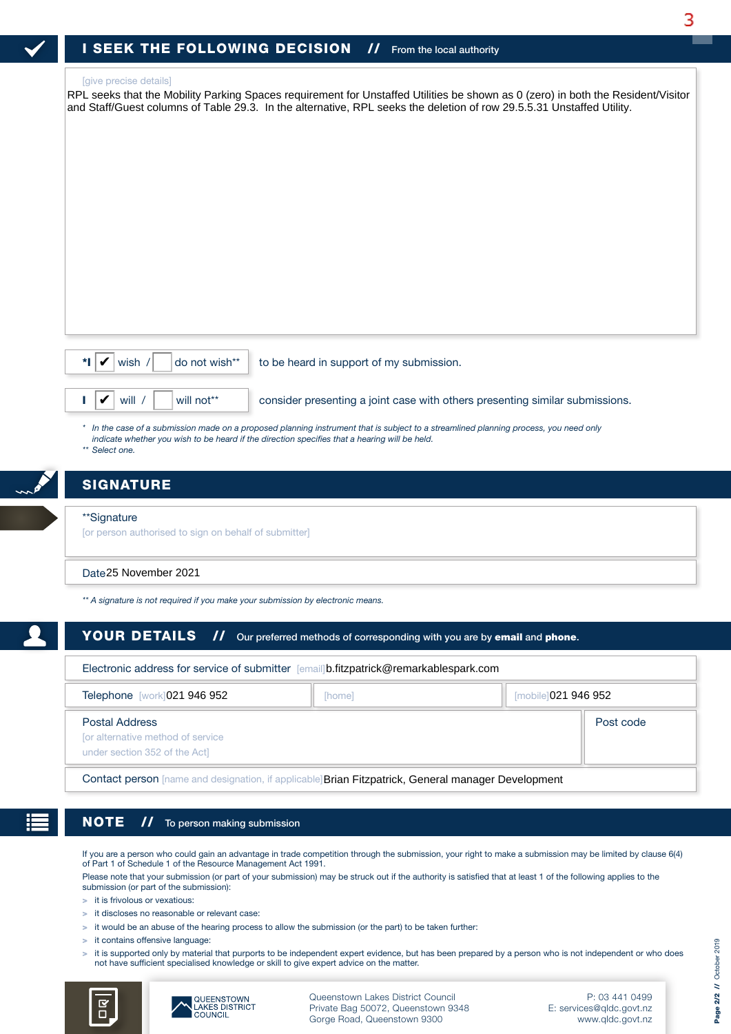RPL seeks that the Mobility Parking Spaces requirement for Unstaffed Utilities be shown as 0 (zero) in both the Resident/Visitor and Staff/Guest columns of Table 29.3. In the alternative, RPL seeks the deletion of row 29.5.5.31 Unstaffed Utility.

| ✔ | wish |  |
|---|------|--|
|   |      |  |
|   |      |  |

# **SIGNATURE**

#### \*\*Signature

### Date 25 November 2021

### YOUR DETAILS // Our preferred methods of corresponding with you are by email and phone.

| *I I<br>do not wish**<br>V<br>wish /                                                        | to be heard in support of my submission.                                                                                                                                                                                               |                      |  |  |  |
|---------------------------------------------------------------------------------------------|----------------------------------------------------------------------------------------------------------------------------------------------------------------------------------------------------------------------------------------|----------------------|--|--|--|
| V<br>will /<br>will not**                                                                   | consider presenting a joint case with others presenting similar submissions.                                                                                                                                                           |                      |  |  |  |
| ** Select one.                                                                              | * In the case of a submission made on a proposed planning instrument that is subject to a streamlined planning process, you need only<br>indicate whether you wish to be heard if the direction specifies that a hearing will be held. |                      |  |  |  |
| <b>SIGNATURE</b>                                                                            |                                                                                                                                                                                                                                        |                      |  |  |  |
| **Signature<br>[or person authorised to sign on behalf of submitter]                        |                                                                                                                                                                                                                                        |                      |  |  |  |
| Date 25 November 2021                                                                       |                                                                                                                                                                                                                                        |                      |  |  |  |
| ** A signature is not required if you make your submission by electronic means.             |                                                                                                                                                                                                                                        |                      |  |  |  |
| <b>YOUR DETAILS</b><br>$\boldsymbol{\mathcal{H}}$                                           | Our preferred methods of corresponding with you are by email and phone.                                                                                                                                                                |                      |  |  |  |
|                                                                                             | Electronic address for service of submitter [email]b.fitzpatrick@remarkablespark.com                                                                                                                                                   |                      |  |  |  |
| Telephone [work] 021 946 952                                                                | [home]                                                                                                                                                                                                                                 | [mobile] 021 946 952 |  |  |  |
| <b>Postal Address</b><br>for alternative method of service<br>under section 352 of the Act] |                                                                                                                                                                                                                                        | Post code            |  |  |  |
|                                                                                             | Contact person [name and designation, if applicable] Brian Fitzpatrick, General manager Development                                                                                                                                    |                      |  |  |  |

Contact person [name and designation, if applicable] Brian Fitzpatrick, General manager Development

### NOTE // To person making submission

If you are a person who could gain an advantage in trade competition through the submission, your right to make a submission may be limited by clause 6(4) of Part 1 of Schedule 1 of the Resource Management Act 1991.

Please note that your submission (or part of your submission) may be struck out if the authority is satisfied that at least 1 of the following applies to the submission (or part of the submission):

> it is frivolous or vexatious:

- > it discloses no reasonable or relevant case:
- > it would be an abuse of the hearing process to allow the submission (or the part) to be taken further:
- > it contains offensive language:
- > it is supported only by material that purports to be independent expert evidence, but has been prepared by a person who is not independent or who does not have sufficient specialised knowledge or skill to give expert advice on the matter.





Queenstown Lakes District Council Private Bag 50072, Queenstown 9348 Gorge Road, Queenstown 9300

P: 03 441 0499 E: services@qldc.govt.nz www.qldc.govt.nz 3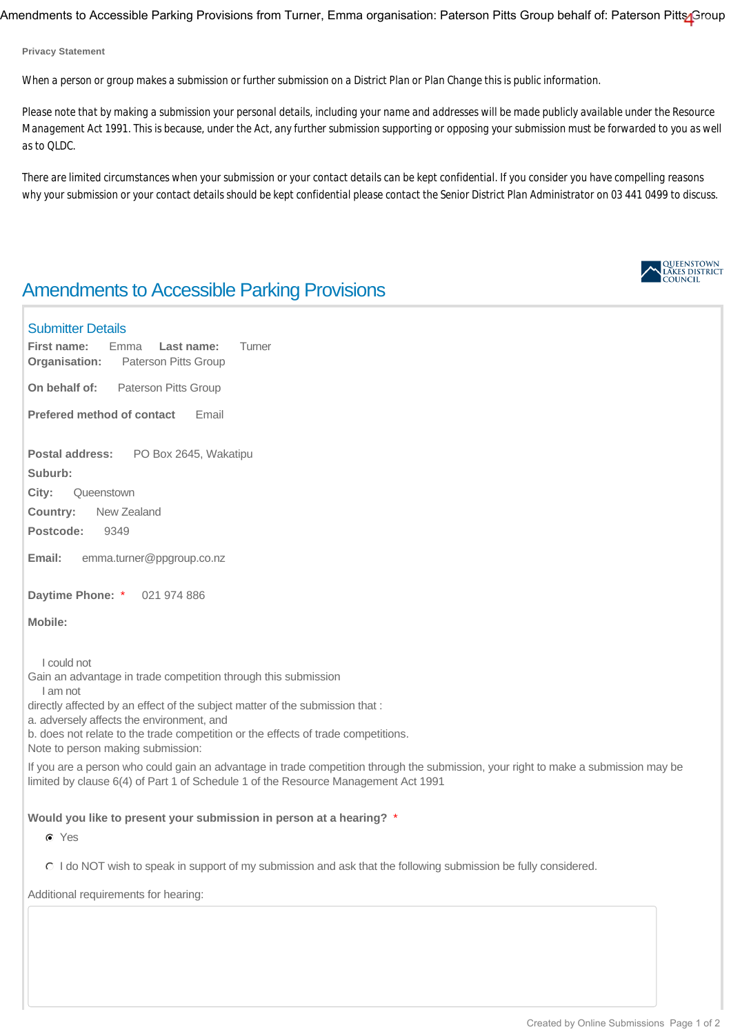Amendments to Accessible Parking Provisions from Turner, Emma organisation: Paterson Pitts Group behalf of: Paterson Pitts Group

**Privacy Statement**

*When a person or group makes a submission or further submission on a District Plan or Plan Change this is public information.*

*Please note that by making a submission your personal details, including your name and addresses will be made publicly available under the Resource Management Act 1991. This is because, under the Act, any further submission supporting or opposing your submission must be forwarded to you as well as to QLDC.*

*There are limited circumstances when your submission or your contact details can be kept confidential. If you consider you have compelling reasons why your submission or your contact details should be kept confidential please contact the Senior District Plan Administrator on 03 441 0499 to discuss.*

# Amendments to Accessible Parking Provisions

### Submitter Details

**Organisation:** Paterson Pitts Group **First name:** Emma **Last name:** Turner

**On behalf of:** Paterson Pitts Group

**Prefered method of contact Email** 

**Postal address:** PO Box 2645, Wakatipu

**Suburb:** 

**City:** Queenstown

**Country:** New Zealand

**Postcode:** 9349

**Email:** emma.turner@ppgroup.co.nz

**Daytime Phone:** \* 021 974 886

**Mobile:** 

I could not

Gain an advantage in trade competition through this submission

I am not

directly affected by an effect of the subject matter of the submission that :

a. adversely affects the environment, and

b. does not relate to the trade competition or the effects of trade competitions.

Note to person making submission:

If you are a person who could gain an advantage in trade competition through the submission, your right to make a submission may be limited by clause 6(4) of Part 1 of Schedule 1 of the Resource Management Act 1991

**Would you like to present your submission in person at a hearing?** \*

Yes

I do NOT wish to speak in support of my submission and ask that the following submission be fully considered.

Additional requirements for hearing:

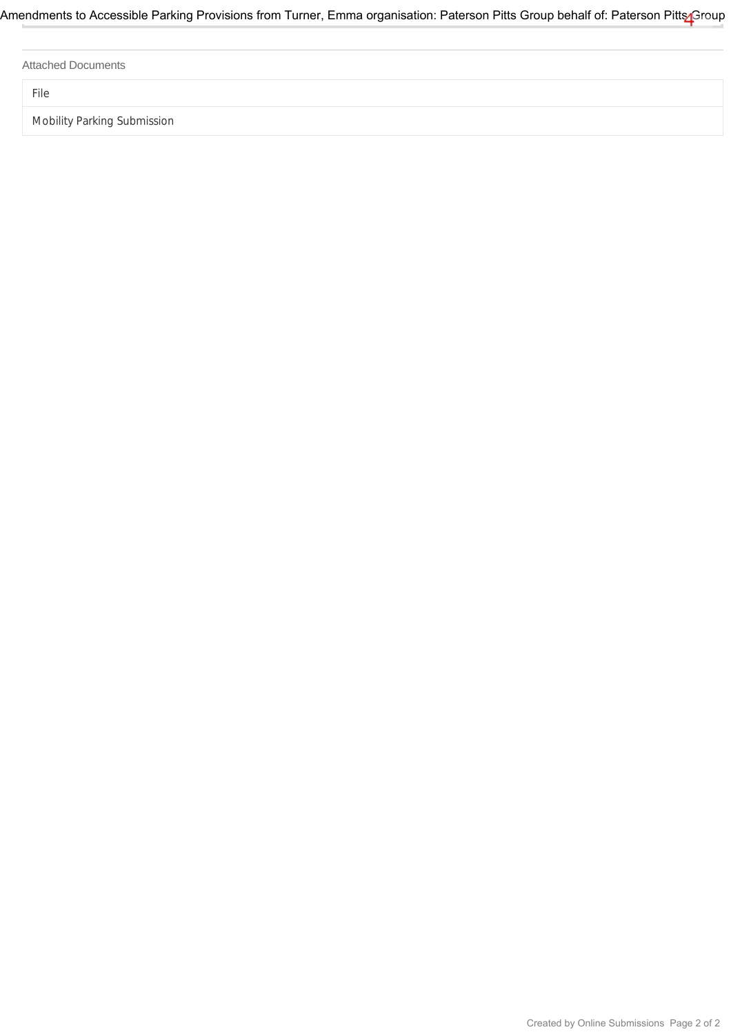Attached Documents

File

Mobility Parking Submission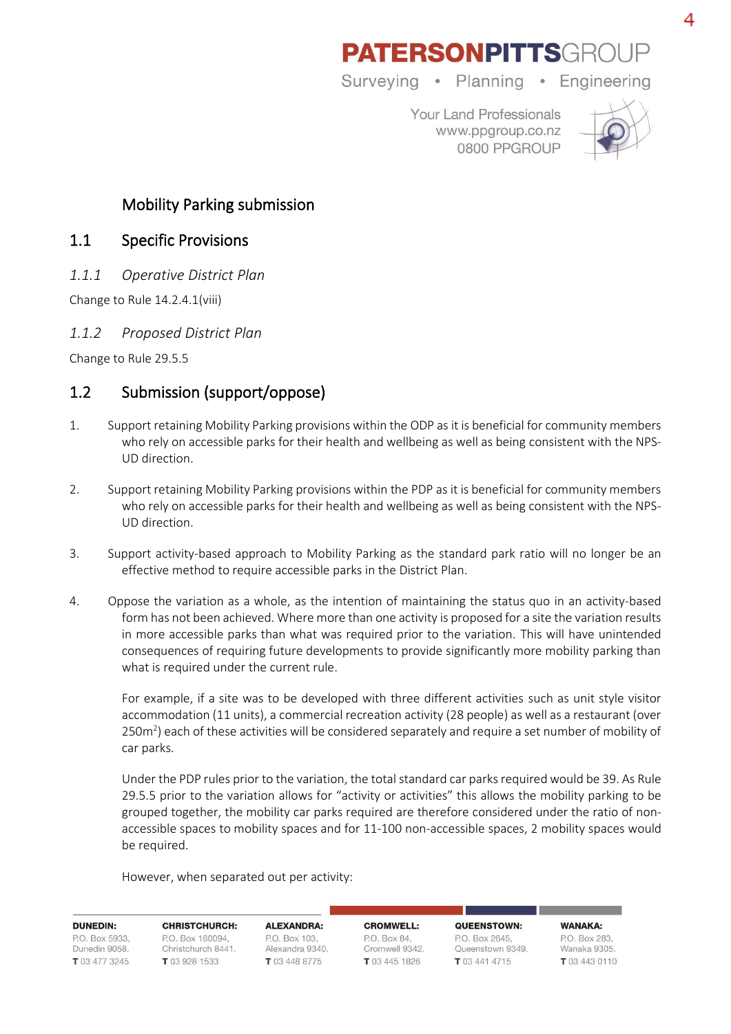# **PATERSONPITTSGROU**

Surveying • Planning • Engineering

Your Land Professionals www.ppgroup.co.nz 0800 PPGROUP



Mobility Parking submission

## 1.1 Specific Provisions

*1.1.1 Operative District Plan*

Change to Rule 14.2.4.1(viii)

## *1.1.2 Proposed District Plan*

Change to Rule 29.5.5

# 1.2 Submission (support/oppose)

- 1. Support retaining Mobility Parking provisions within the ODP as it is beneficial for community members who rely on accessible parks for their health and wellbeing as well as being consistent with the NPS-UD direction.
- 2. Support retaining Mobility Parking provisions within the PDP as it is beneficial for community members who rely on accessible parks for their health and wellbeing as well as being consistent with the NPS-UD direction.
- 3. Support activity-based approach to Mobility Parking as the standard park ratio will no longer be an effective method to require accessible parks in the District Plan.
- 4. Oppose the variation as a whole, as the intention of maintaining the status quo in an activity-based form has not been achieved. Where more than one activity is proposed for a site the variation results in more accessible parks than what was required prior to the variation. This will have unintended consequences of requiring future developments to provide significantly more mobility parking than what is required under the current rule.

For example, if a site was to be developed with three different activities such as unit style visitor accommodation (11 units), a commercial recreation activity (28 people) as well as a restaurant (over  $250m<sup>2</sup>$ ) each of these activities will be considered separately and require a set number of mobility of car parks.

Under the PDP rules prior to the variation, the total standard car parks required would be 39. As Rule 29.5.5 prior to the variation allows for "activity or activities" this allows the mobility parking to be grouped together, the mobility car parks required are therefore considered under the ratio of nonaccessible spaces to mobility spaces and for 11-100 non-accessible spaces, 2 mobility spaces would be required.

However, when separated out per activity:

**DUNEDIN-**P.O. Box 5933. Dunedin 9058. T 03 477 3245

**CHRISTCHURCH-**P.O. Box 160094. Christchurch 8441. T 03 928 1533

**ALEXANDRA:** P.O. Box 103. Alexandra 9340. T 03 448 8775

CROMWELL · P.O. Box 84, Cromwell 9342. T 03 445 1826

OUFFNSTOWN-P.O. Box 2645. Queenstown 9349. T 03 441 4715

WANAKA: PO Box 283 Wanaka 9305. T 03 443 0110